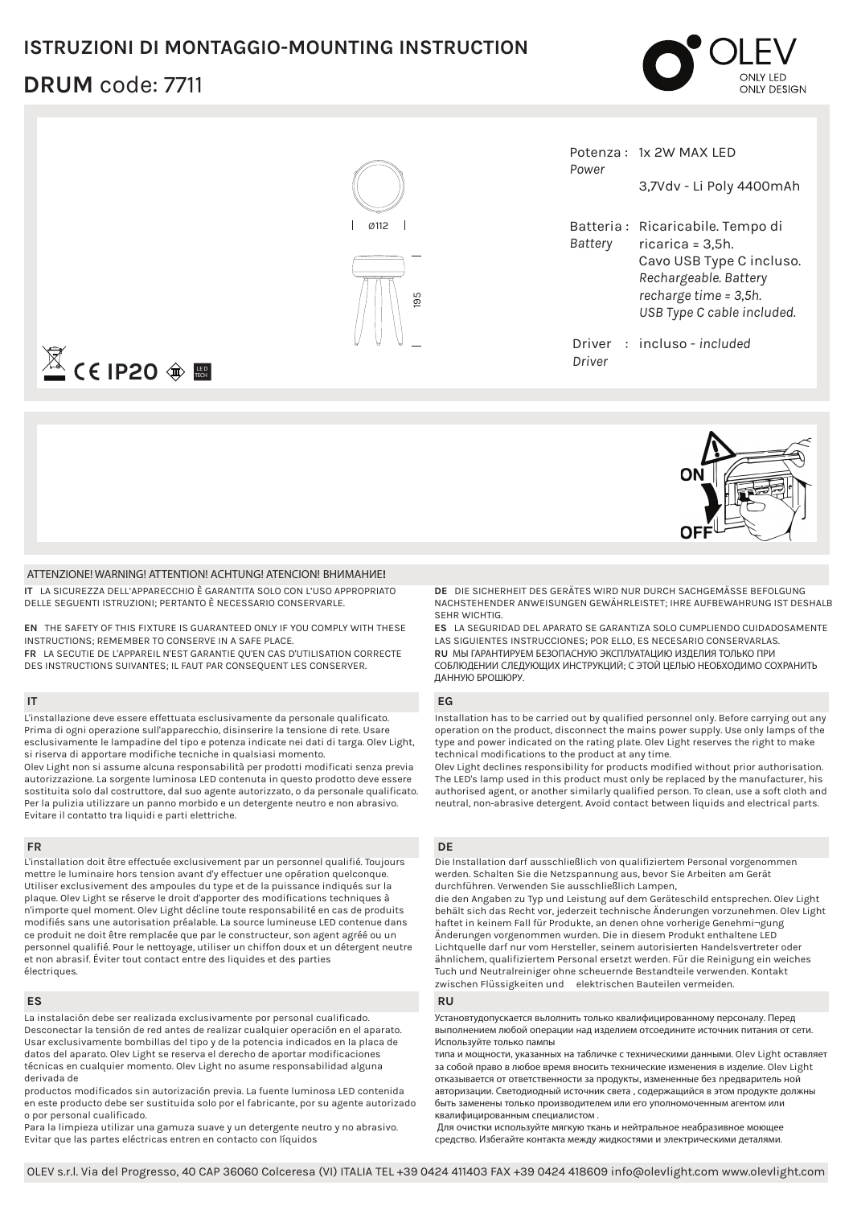## **ISTRUZIONI DI MONTAGGIO-MOUNTING INSTRUCTION**

# **DRUM** code: 7711







#### **ATTENZIONE! WARNING! ATTENTION! ACHTUNG! ATENCION! ВНИМАНИЕ!**

**IT** LA SICUREZZA DELL'APPARECCHIO È GARANTITA SOLO CON L'USO APPROPRIATO DELLE SEGUENTI ISTRUZIONI; PERTANTO È NECESSARIO CONSERVARLE.

**EN** THE SAFETY OF THIS FIXTURE IS GUARANTEED ONLY IF YOU COMPLY WITH THESE INSTRUCTIONS; REMEMBER TO CONSERVE IN A SAFE PLACE. **FR** LA SECUTIE DE L'APPAREIL N'EST GARANTIE QU'EN CAS D'UTILISATION CORRECTE DES INSTRUCTIONS SUIVANTES; IL FAUT PAR CONSEQUENT LES CONSERVER.

### **IT**

L'installazione deve essere effettuata esclusivamente da personale qualificato. Prima di ogni operazione sull'apparecchio, disinserire la tensione di rete. Usare esclusivamente le lampadine del tipo e potenza indicate nei dati di targa. Olev Light, si riserva di apportare modifiche tecniche in qualsiasi momento. Olev Light non si assume alcuna responsabilità per prodotti modificati senza previa autorizzazione. La sorgente luminosa LED contenuta in questo prodotto deve essere sostituita solo dal costruttore, dal suo agente autorizzato, o da personale qualificato. Per la pulizia utilizzare un panno morbido e un detergente neutro e non abrasivo. Evitare il contatto tra liquidi e parti elettriche.

### **FR**

L'installation doit être effectuée exclusivement par un personnel qualifié. Toujours mettre le luminaire hors tension avant d'y effectuer une opération quelconque. Utiliser exclusivement des ampoules du type et de la puissance indiqués sur la plaque. Olev Light se réserve le droit d'apporter des modifications techniques à n'importe quel moment. Olev Light décline toute responsabilité en cas de produits modifiés sans une autorisation préalable. La source lumineuse LED contenue dans ce produit ne doit être remplacée que par le constructeur, son agent agréé ou un personnel qualifié. Pour le nettoyage, utiliser un chiffon doux et un détergent neutre et non abrasif. Éviter tout contact entre des liquides et des parties électriques.

#### **ES**

La instalación debe ser realizada exclusivamente por personal cualificado. Desconectar la tensión de red antes de realizar cualquier operación en el aparato. Usar exclusivamente bombillas del tipo y de la potencia indicados en la placa de datos del aparato. Olev Light se reserva el derecho de aportar modificaciones técnicas en cualquier momento. Olev Light no asume responsabilidad alguna derivada de

productos modificados sin autorización previa. La fuente luminosa LED contenida en este producto debe ser sustituida solo por el fabricante, por su agente autorizado o por personal cualificado.

Para la limpieza utilizar una gamuza suave y un detergente neutro y no abrasivo. Evitar que las partes eléctricas entren en contacto con líquidos

**DE** DIE SICHERHEIT DES GERÄTES WIRD NUR DURCH SACHGEMÄSSE BEFOLGUNG NACHSTEHENDER ANWEISUNGEN GEWÄHRLEISTET; IHRE AUFBEWAHRUNG IST DESHALB SEHR WICHTIG.

**ES** LA SEGURIDAD DEL APARATO SE GARANTIZA SOLO CUMPLIENDO CUIDADOSAMENTE LAS SIGUIENTES INSTRUCCIONES; POR ELLO, ES NECESARIO CONSERVARLAS. **RU** МЫ ГАРАНТИРУЕМ БЕЗОПАСНУЮ ЭКСПЛУАТАЦИЮ ИЗДЕЛИЯ ТОЛЬКО ПРИ СОБЛЮДЕНИИ СЛЕДУЮЩИХ ИНСТРУКЦИЙ; С ЭТОЙ ЦЕЛЬЮ НЕОБХОДИМО СОХРАНИТЬ ДАННУЮ БРОШЮРУ.

#### **EG**

Installation has to be carried out by qualified personnel only. Before carrying out any operation on the product, disconnect the mains power supply. Use only lamps of the type and power indicated on the rating plate. Olev Light reserves the right to make technical modifications to the product at any time.

Olev Light declines responsibility for products modified without prior authorisation. The LED's lamp used in this product must only be replaced by the manufacturer, his authorised agent, or another similarly qualified person. To clean, use a soft cloth and neutral, non-abrasive detergent. Avoid contact between liquids and electrical parts.

#### **DE**

Die Installation darf ausschließlich von qualifiziertem Personal vorgenommen werden. Schalten Sie die Netzspannung aus, bevor Sie Arbeiten am Gerät durchführen. Verwenden Sie ausschließlich Lampen,

die den Angaben zu Typ und Leistung auf dem Geräteschild entsprechen. Olev Light behält sich das Recht vor, jederzeit technische Änderungen vorzunehmen. Olev Light haftet in keinem Fall für Produkte, an denen ohne vorherige Genehmi¬gung Änderungen vorgenommen wurden. Die in diesem Produkt enthaltene LED Lichtquelle darf nur vom Hersteller, seinem autorisierten Handelsvertreter oder ähnlichem, qualifiziertem Personal ersetzt werden. Für die Reinigung ein weiches Tuch und Neutralreiniger ohne scheuernde Bestandteile verwenden. Kontakt zwischen Flüssigkeiten und elektrischen Bauteilen vermeiden.

#### **RU**

Установтудопускается вьлолнить только квалифицированному персоналу. Перед выполнением любой операции над изделием отсоедините источник питания от сети. Используйте только пампы

типа и мощности, указанных на табличке с техническими данными. Olev Light оставляет за собой право в любое время вносить технические изменения в изделие. Olev Light отказывается от ответственности за продукты, измененные без nредваритель ной авторизации. Светодиодный источник света , содержащийся в этом продукте должны быть заменены только производителем или его уполномоченным агентом или квалифицированным специалистом .

Для очистки используйте мягкую ткань и нейтральное неабразивное моющее средство. Избегайте контакта между жидкостями и электрическими деталями.